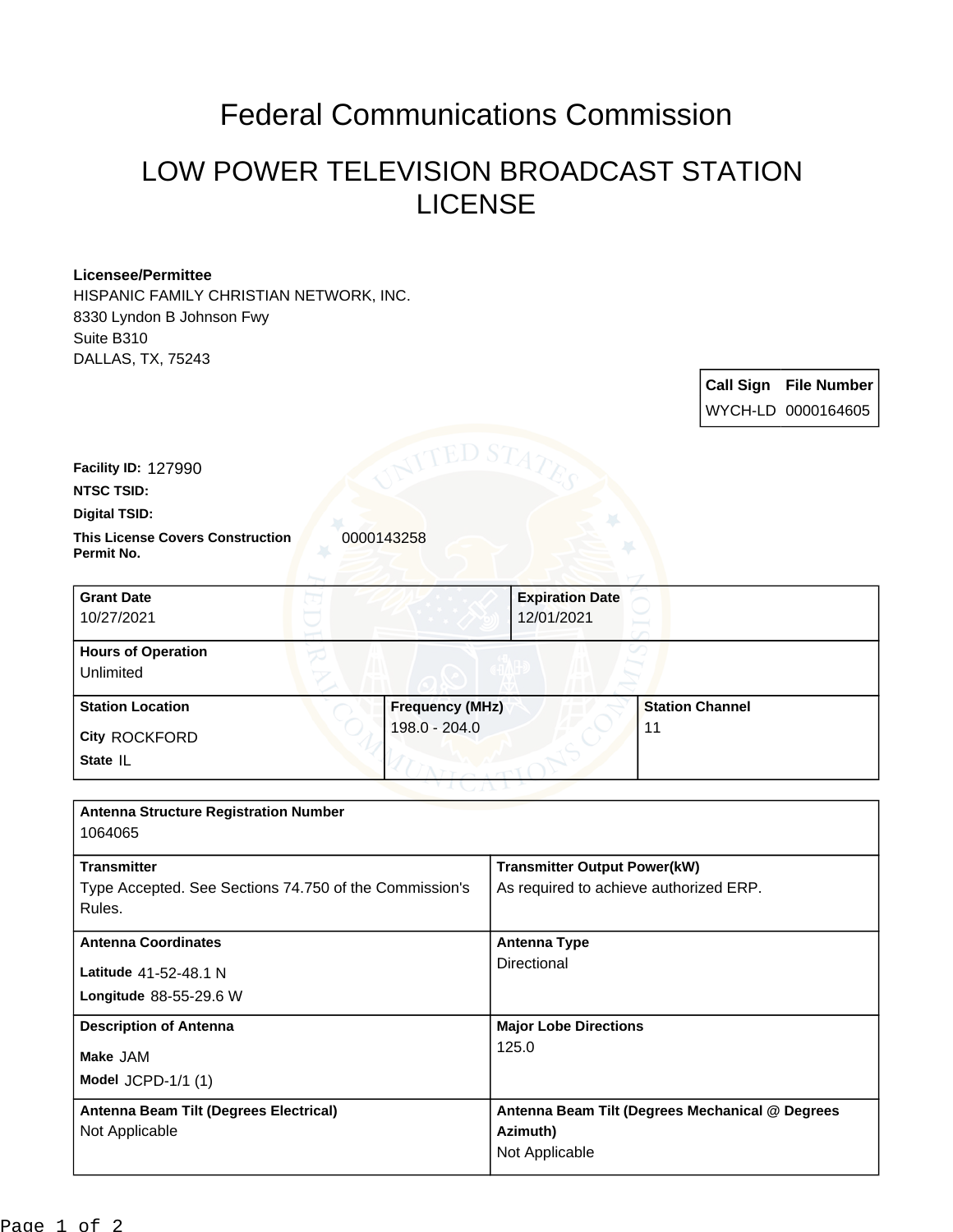# Federal Communications Commission

# LOW POWER TELEVISION BROADCAST STATION LICENSE

### **Licensee/Permittee**

HISPANIC FAMILY CHRISTIAN NETWORK, INC. 8330 Lyndon B Johnson Fwy Suite B310 DALLAS, TX, 75243

> **Call Sign File Number** WYCH-LD 0000164605

**Facility ID:** 127990

**NTSC TSID:**

#### **Digital TSID:**

**This License Covers Construction**  0000143258 **Permit No.**

| <b>Grant Date</b><br>10/27/2021        |                        | <b>Expiration Date</b><br>12/01/2021 |
|----------------------------------------|------------------------|--------------------------------------|
| <b>Hours of Operation</b><br>Unlimited |                        |                                      |
| <b>Station Location</b>                | <b>Frequency (MHz)</b> | <b>Station Channel</b>               |
| City ROCKFORD<br>State IL              | 198.0 - 204.0          | 11                                   |

| <b>Antenna Structure Registration Number</b><br>1064065          |                                                 |
|------------------------------------------------------------------|-------------------------------------------------|
| <b>Transmitter</b>                                               | <b>Transmitter Output Power(kW)</b>             |
| Type Accepted. See Sections 74.750 of the Commission's<br>Rules. | As required to achieve authorized ERP.          |
| <b>Antenna Coordinates</b>                                       | <b>Antenna Type</b>                             |
| Latitude 41-52-48.1 N                                            | Directional                                     |
| Longitude 88-55-29.6 W                                           |                                                 |
| <b>Description of Antenna</b>                                    | <b>Major Lobe Directions</b>                    |
| Make JAM                                                         | 125.0                                           |
| Model $JCPD-1/1$ (1)                                             |                                                 |
| Antenna Beam Tilt (Degrees Electrical)                           | Antenna Beam Tilt (Degrees Mechanical @ Degrees |
| Not Applicable                                                   | Azimuth)                                        |
|                                                                  | Not Applicable                                  |